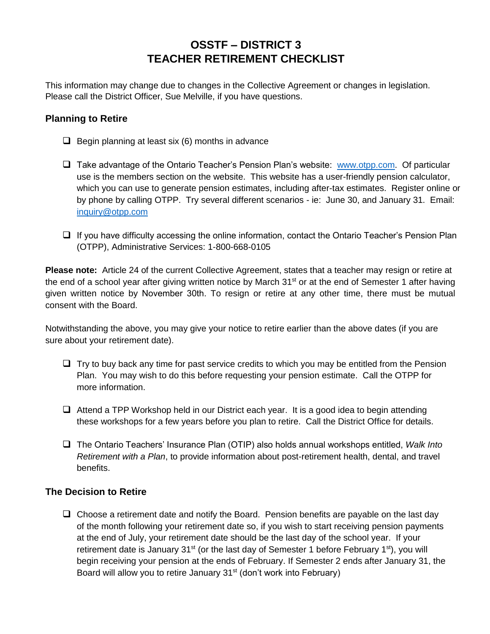## **OSSTF – DISTRICT 3 TEACHER RETIREMENT CHECKLIST**

This information may change due to changes in the Collective Agreement or changes in legislation. Please call the District Officer, Sue Melville, if you have questions.

## **Planning to Retire**

- $\Box$  Begin planning at least six (6) months in advance
- $\Box$  Take advantage of the Ontario Teacher's Pension Plan's website: [www.otpp.com.](http://www.otpp.com/) Of particular use is the members section on the website. This website has a user-friendly pension calculator, which you can use to generate pension estimates, including after-tax estimates. Register online or by phone by calling OTPP. Try several different scenarios - ie: June 30, and January 31. Email: [inquiry@otpp.com](mailto:inquiry@otpp.com)
- $\Box$  If you have difficulty accessing the online information, contact the Ontario Teacher's Pension Plan (OTPP), Administrative Services: 1-800-668-0105

**Please note:** Article 24 of the current Collective Agreement, states that a teacher may resign or retire at the end of a school year after giving written notice by March 31<sup>st</sup> or at the end of Semester 1 after having given written notice by November 30th. To resign or retire at any other time, there must be mutual consent with the Board.

Notwithstanding the above, you may give your notice to retire earlier than the above dates (if you are sure about your retirement date).

- $\Box$  Try to buy back any time for past service credits to which you may be entitled from the Pension Plan. You may wish to do this before requesting your pension estimate. Call the OTPP for more information.
- $\Box$  Attend a TPP Workshop held in our District each year. It is a good idea to begin attending these workshops for a few years before you plan to retire. Call the District Office for details.
- The Ontario Teachers' Insurance Plan (OTIP) also holds annual workshops entitled, *Walk Into Retirement with a Plan*, to provide information about post-retirement health, dental, and travel benefits.

## **The Decision to Retire**

 $\Box$  Choose a retirement date and notify the Board. Pension benefits are payable on the last day of the month following your retirement date so, if you wish to start receiving pension payments at the end of July, your retirement date should be the last day of the school year. If your retirement date is January 31<sup>st</sup> (or the last day of Semester 1 before February 1<sup>st</sup>), you will begin receiving your pension at the ends of February. If Semester 2 ends after January 31, the Board will allow you to retire January 31<sup>st</sup> (don't work into February)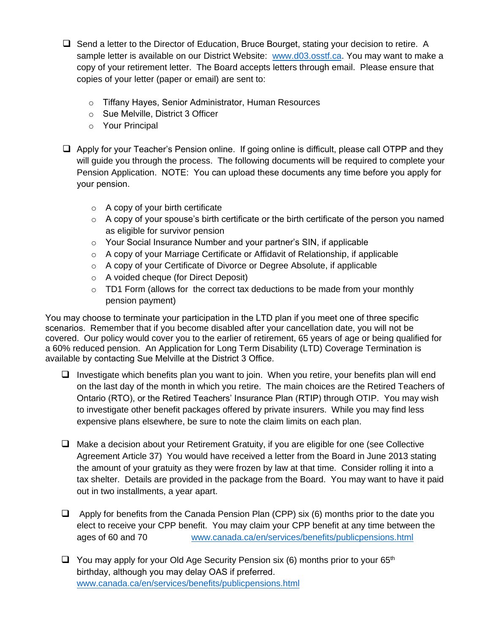- $\Box$  Send a letter to the Director of Education, Bruce Bourget, stating your decision to retire. A sample letter is available on our District Website: [www.d03.osstf.ca.](http://www.d03.osstf.ca/) You may want to make a copy of your retirement letter. The Board accepts letters through email. Please ensure that copies of your letter (paper or email) are sent to:
	- o Tiffany Hayes, Senior Administrator, Human Resources
	- o Sue Melville, District 3 Officer
	- o Your Principal
- $\Box$  Apply for your Teacher's Pension online. If going online is difficult, please call OTPP and they will guide you through the process. The following documents will be required to complete your Pension Application. NOTE: You can upload these documents any time before you apply for your pension.
	- $\circ$  A copy of your birth certificate
	- $\circ$  A copy of your spouse's birth certificate or the birth certificate of the person you named as eligible for survivor pension
	- o Your Social Insurance Number and your partner's SIN, if applicable
	- $\circ$  A copy of your Marriage Certificate or Affidavit of Relationship, if applicable
	- $\circ$  A copy of your Certificate of Divorce or Degree Absolute, if applicable
	- o A voided cheque (for Direct Deposit)
	- $\circ$  TD1 Form (allows for the correct tax deductions to be made from your monthly pension payment)

You may choose to terminate your participation in the LTD plan if you meet one of three specific scenarios. Remember that if you become disabled after your cancellation date, you will not be covered. Our policy would cover you to the earlier of retirement, 65 years of age or being qualified for a 60% reduced pension. An Application for Long Term Disability (LTD) Coverage Termination is available by contacting Sue Melville at the District 3 Office.

- $\Box$  Investigate which benefits plan you want to join. When you retire, your benefits plan will end on the last day of the month in which you retire. The main choices are the Retired Teachers of Ontario (RTO), or the Retired Teachers' Insurance Plan (RTIP) through OTIP. You may wish to investigate other benefit packages offered by private insurers. While you may find less expensive plans elsewhere, be sure to note the claim limits on each plan.
- $\Box$  Make a decision about your Retirement Gratuity, if you are eligible for one (see Collective Agreement Article 37) You would have received a letter from the Board in June 2013 stating the amount of your gratuity as they were frozen by law at that time. Consider rolling it into a tax shelter. Details are provided in the package from the Board. You may want to have it paid out in two installments, a year apart.
- $\Box$  Apply for benefits from the Canada Pension Plan (CPP) six (6) months prior to the date you elect to receive your CPP benefit. You may claim your CPP benefit at any time between the ages of 60 and 70 [www.canada.ca/en/services/benefits/publicpensions.html](http://www.canada.ca/en/services/benefits/publicpensions.html)
- $\Box$  You may apply for your Old Age Security Pension six (6) months prior to your 65<sup>th</sup> birthday[, although you may delay OAS if preferred.](http://www.canada.ca/en/services/benefits/publicpensions.html) www.canada.ca/en/services/benefits/publicpensions.html